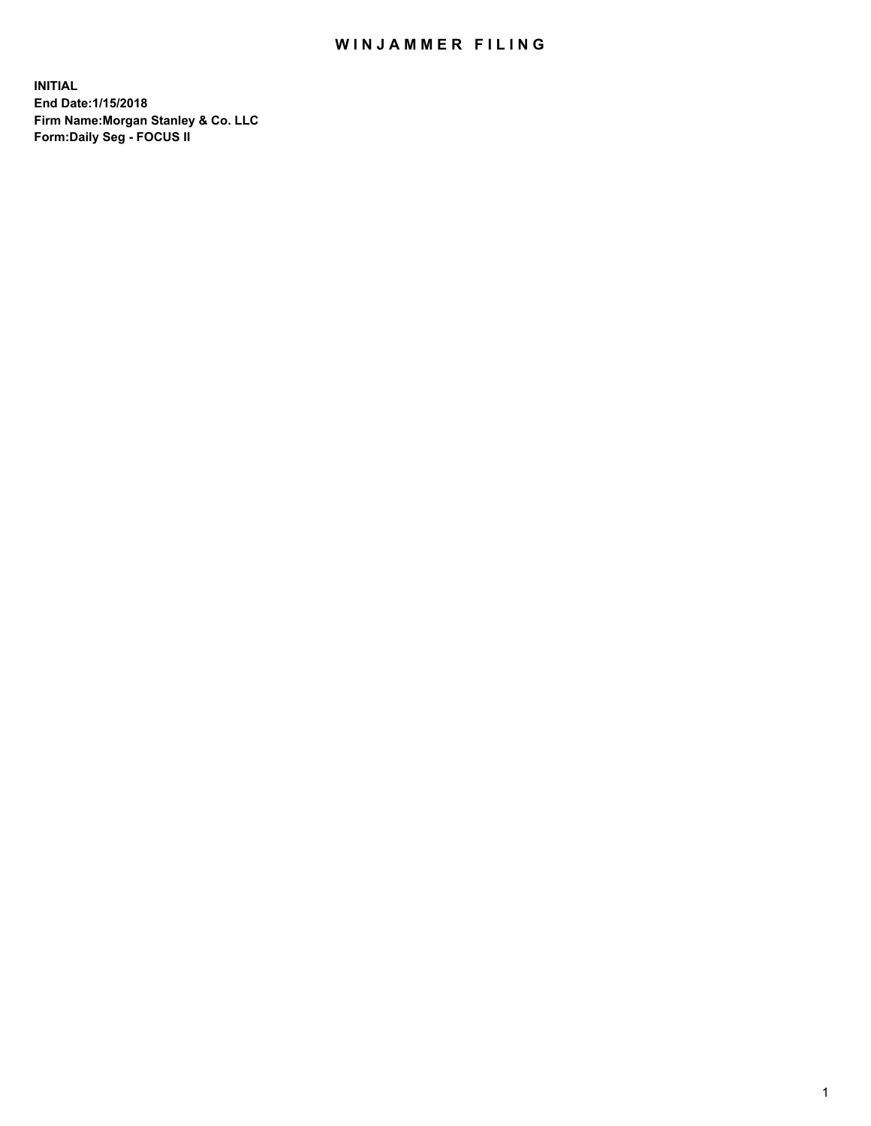## WIN JAMMER FILING

**INITIAL End Date:1/15/2018 Firm Name:Morgan Stanley & Co. LLC Form:Daily Seg - FOCUS II**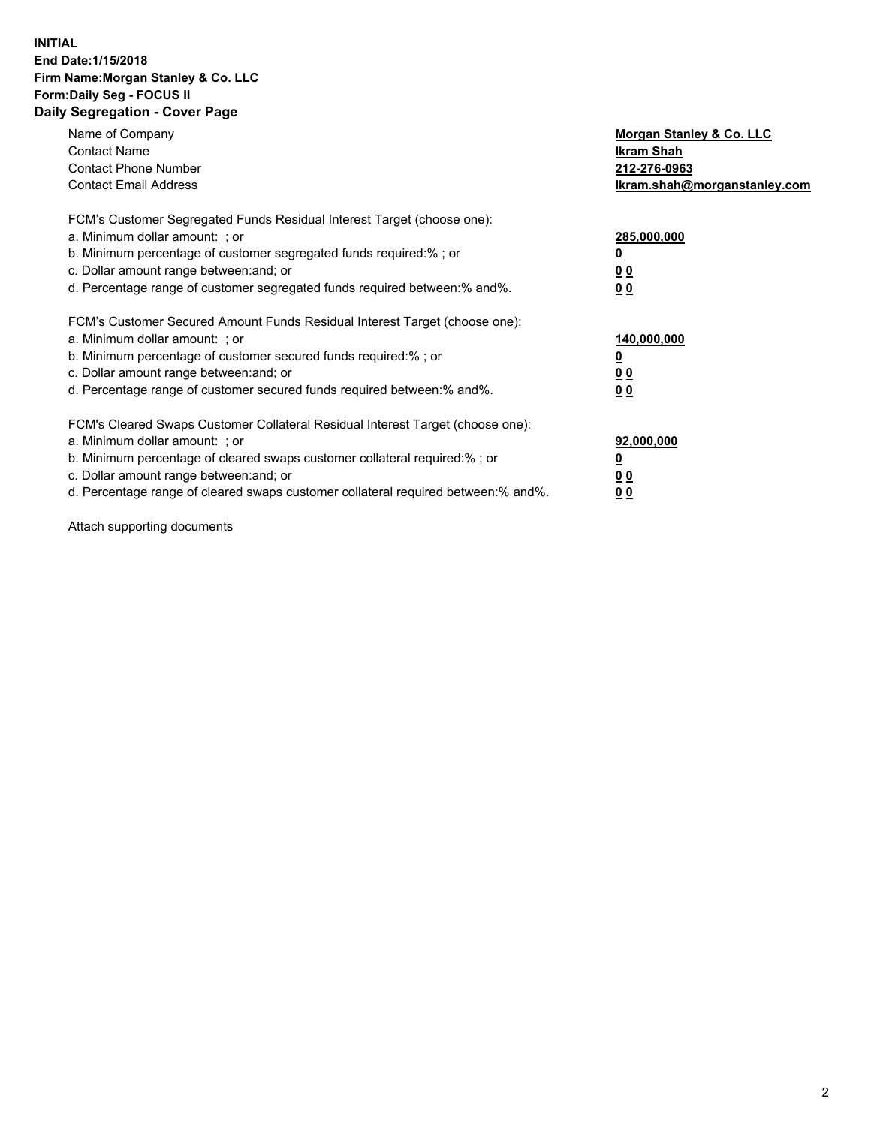### **INITIAL End Date:1/15/2018 Firm Name:Morgan Stanley & Co. LLC Form:Daily Seg - FOCUS II Daily Segregation - Cover Page**

| Name of Company                                                                   | Morgan Stanley & Co. LLC     |
|-----------------------------------------------------------------------------------|------------------------------|
| <b>Contact Name</b>                                                               | Ikram Shah                   |
| <b>Contact Phone Number</b>                                                       | 212-276-0963                 |
| <b>Contact Email Address</b>                                                      | lkram.shah@morganstanley.com |
| FCM's Customer Segregated Funds Residual Interest Target (choose one):            |                              |
| a. Minimum dollar amount: ; or                                                    | 285,000,000                  |
| b. Minimum percentage of customer segregated funds required:%; or                 |                              |
| c. Dollar amount range between: and; or                                           | 00                           |
| d. Percentage range of customer segregated funds required between: % and %.       | 0 <sub>0</sub>               |
| FCM's Customer Secured Amount Funds Residual Interest Target (choose one):        |                              |
| a. Minimum dollar amount: ; or                                                    | 140,000,000                  |
| b. Minimum percentage of customer secured funds required:%; or                    |                              |
| c. Dollar amount range between: and; or                                           | 00                           |
| d. Percentage range of customer secured funds required between: % and %.          | 0 <sub>0</sub>               |
| FCM's Cleared Swaps Customer Collateral Residual Interest Target (choose one):    |                              |
| a. Minimum dollar amount: ; or                                                    | 92,000,000                   |
| b. Minimum percentage of cleared swaps customer collateral required:% ; or        | <u>0</u>                     |
| c. Dollar amount range between: and; or                                           | <u>00</u>                    |
| d. Percentage range of cleared swaps customer collateral required between:% and%. | 00                           |
|                                                                                   |                              |

Attach supporting documents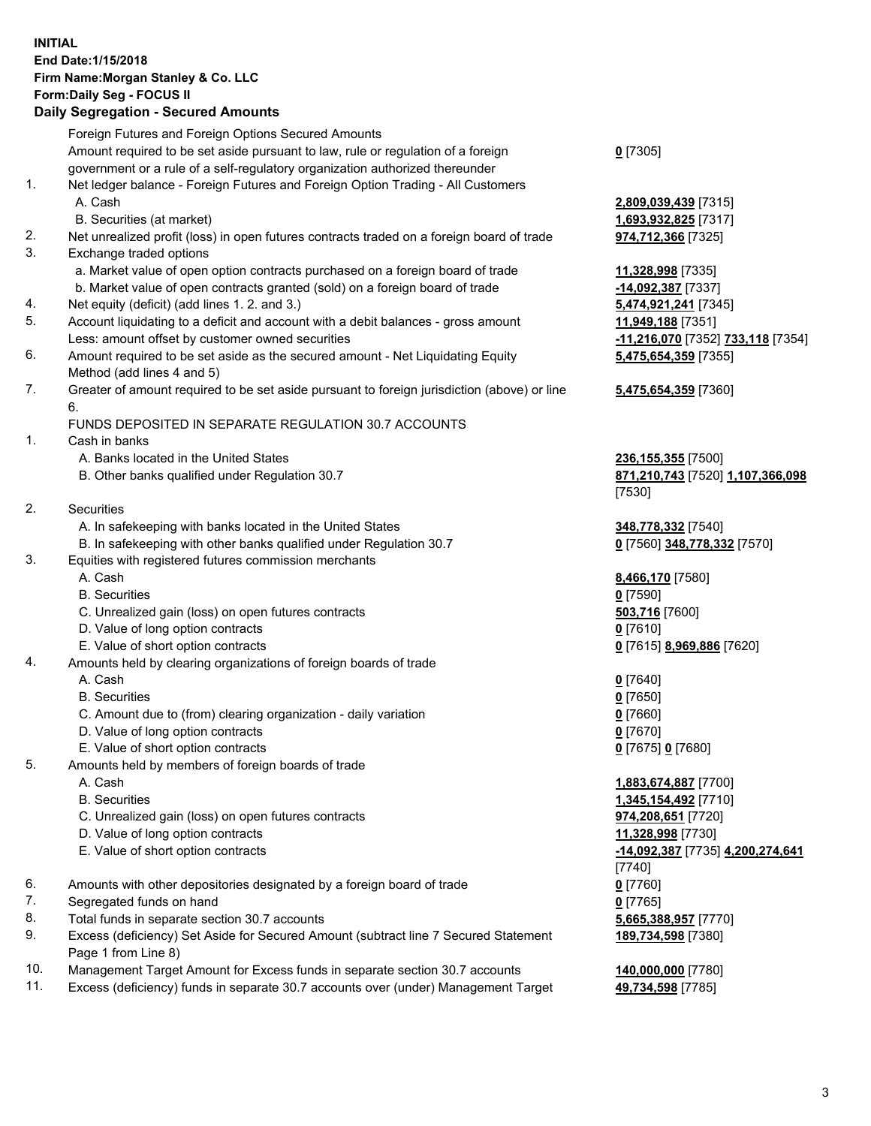## **INITIAL End Date:1/15/2018 Firm Name:Morgan Stanley & Co. LLC Form:Daily Seg - FOCUS II**

## **Daily Segregation - Secured Amounts**

|     | <b>Daily Ocglegation - Occurred Amounts</b>                                                 |                                   |
|-----|---------------------------------------------------------------------------------------------|-----------------------------------|
|     | Foreign Futures and Foreign Options Secured Amounts                                         |                                   |
|     | Amount required to be set aside pursuant to law, rule or regulation of a foreign            | $0$ [7305]                        |
|     | government or a rule of a self-regulatory organization authorized thereunder                |                                   |
| 1.  | Net ledger balance - Foreign Futures and Foreign Option Trading - All Customers             |                                   |
|     | A. Cash                                                                                     | 2,809,039,439 [7315]              |
|     | B. Securities (at market)                                                                   | 1,693,932,825 [7317]              |
| 2.  | Net unrealized profit (loss) in open futures contracts traded on a foreign board of trade   | 974,712,366 [7325]                |
| 3.  | Exchange traded options                                                                     |                                   |
|     | a. Market value of open option contracts purchased on a foreign board of trade              | 11,328,998 [7335]                 |
|     | b. Market value of open contracts granted (sold) on a foreign board of trade                | -14,092,387 [7337]                |
| 4.  | Net equity (deficit) (add lines 1.2. and 3.)                                                | 5,474,921,241 [7345]              |
| 5.  | Account liquidating to a deficit and account with a debit balances - gross amount           | 11,949,188 [7351]                 |
|     | Less: amount offset by customer owned securities                                            | -11,216,070 [7352] 733,118 [7354] |
| 6.  | Amount required to be set aside as the secured amount - Net Liquidating Equity              | 5,475,654,359 [7355]              |
|     | Method (add lines 4 and 5)                                                                  |                                   |
| 7.  | Greater of amount required to be set aside pursuant to foreign jurisdiction (above) or line | 5,475,654,359 [7360]              |
|     | 6.                                                                                          |                                   |
|     | FUNDS DEPOSITED IN SEPARATE REGULATION 30.7 ACCOUNTS                                        |                                   |
| 1.  | Cash in banks                                                                               |                                   |
|     | A. Banks located in the United States                                                       | 236, 155, 355 [7500]              |
|     | B. Other banks qualified under Regulation 30.7                                              | 871,210,743 [7520] 1,107,366,098  |
|     |                                                                                             | [7530]                            |
| 2.  | Securities                                                                                  |                                   |
|     | A. In safekeeping with banks located in the United States                                   | 348,778,332 [7540]                |
|     | B. In safekeeping with other banks qualified under Regulation 30.7                          | 0 [7560] 348,778,332 [7570]       |
| 3.  | Equities with registered futures commission merchants                                       |                                   |
|     | A. Cash                                                                                     | 8,466,170 [7580]                  |
|     | <b>B.</b> Securities                                                                        | $0$ [7590]                        |
|     | C. Unrealized gain (loss) on open futures contracts                                         | 503,716 [7600]                    |
|     | D. Value of long option contracts                                                           | $0$ [7610]                        |
|     | E. Value of short option contracts                                                          | 0 [7615] 8,969,886 [7620]         |
| 4.  | Amounts held by clearing organizations of foreign boards of trade                           |                                   |
|     | A. Cash                                                                                     | $0$ [7640]                        |
|     | <b>B.</b> Securities                                                                        | $0$ [7650]                        |
|     | C. Amount due to (from) clearing organization - daily variation                             | $0$ [7660]                        |
|     | D. Value of long option contracts                                                           | $0$ [7670]                        |
|     | E. Value of short option contracts                                                          | 0 [7675] 0 [7680]                 |
| 5.  | Amounts held by members of foreign boards of trade                                          |                                   |
|     | A. Cash                                                                                     | 1,883,674,887 [7700]              |
|     | <b>B.</b> Securities                                                                        | 1,345,154,492 [7710]              |
|     | C. Unrealized gain (loss) on open futures contracts                                         | 974,208,651 [7720]                |
|     | D. Value of long option contracts                                                           | 11,328,998 [7730]                 |
|     | E. Value of short option contracts                                                          | -14,092,387 [7735] 4,200,274,641  |
| 6.  |                                                                                             | $[7740]$                          |
| 7.  | Amounts with other depositories designated by a foreign board of trade                      | $0$ [7760]                        |
| 8.  | Segregated funds on hand<br>Total funds in separate section 30.7 accounts                   | $0$ [7765]                        |
| 9.  | Excess (deficiency) Set Aside for Secured Amount (subtract line 7 Secured Statement         | 5,665,388,957 [7770]              |
|     | Page 1 from Line 8)                                                                         | 189,734,598 [7380]                |
| 10. | Management Target Amount for Excess funds in separate section 30.7 accounts                 | 140,000,000 [7780]                |
|     |                                                                                             |                                   |

11. Excess (deficiency) funds in separate 30.7 accounts over (under) Management Target **49,734,598** [7785]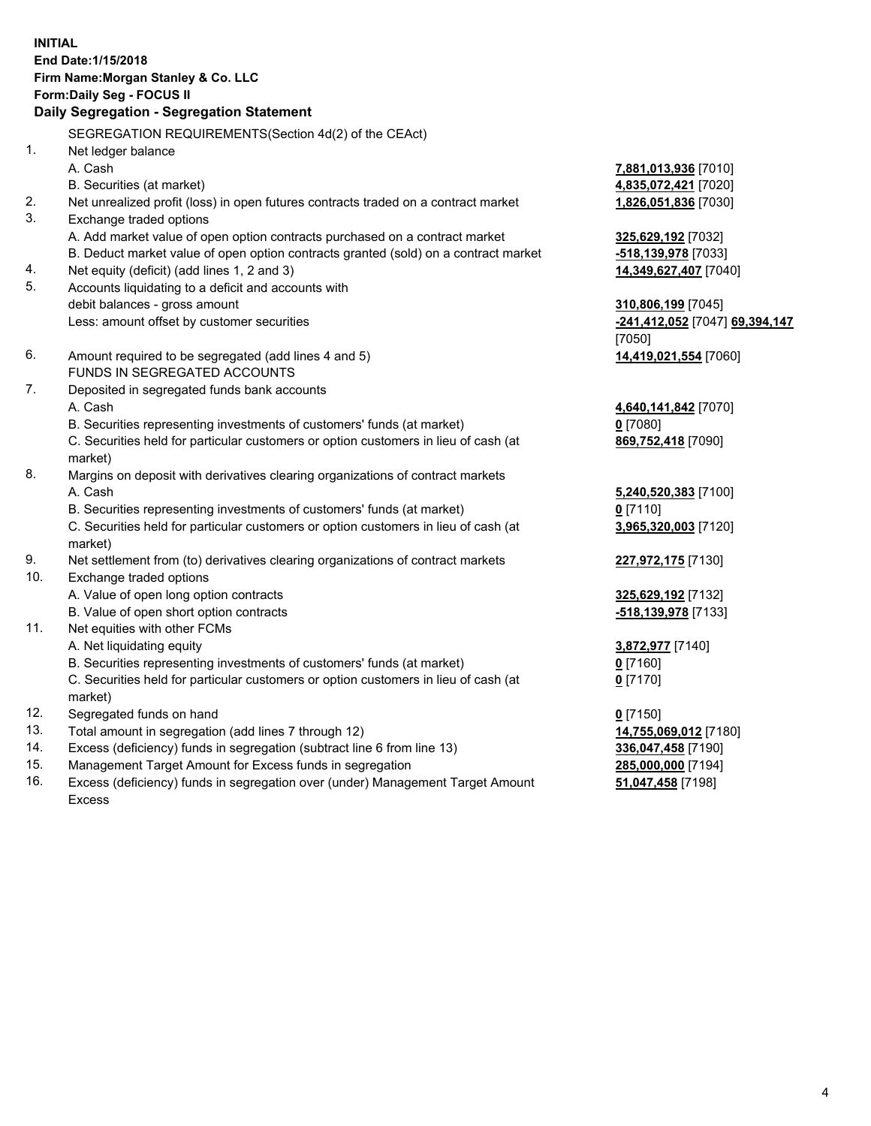## **INITIAL End Date:1/15/2018 Firm Name:Morgan Stanley & Co. LLC Form:Daily Seg - FOCUS II**

# **Daily Segregation - Segregation Statement**

SEGREGATION REQUIREMENTS(Section 4d(2) of the CEAct) 1. Net ledger balance A. Cash **7,881,013,936** [7010] B. Securities (at market) **4,835,072,421** [7020] 2. Net unrealized profit (loss) in open futures contracts traded on a contract market **1,826,051,836** [7030] 3. Exchange traded options A. Add market value of open option contracts purchased on a contract market **325,629,192** [7032] B. Deduct market value of open option contracts granted (sold) on a contract market **-518,139,978** [7033] 4. Net equity (deficit) (add lines 1, 2 and 3) **14,349,627,407** [7040] 5. Accounts liquidating to a deficit and accounts with debit balances - gross amount **310,806,199** [7045] Less: amount offset by customer securities **-241,412,052** [7047] **69,394,147** [7050] 6. Amount required to be segregated (add lines 4 and 5) **14,419,021,554** [7060] FUNDS IN SEGREGATED ACCOUNTS 7. Deposited in segregated funds bank accounts A. Cash **4,640,141,842** [7070] B. Securities representing investments of customers' funds (at market) **0** [7080] C. Securities held for particular customers or option customers in lieu of cash (at market) 8. Margins on deposit with derivatives clearing organizations of contract markets A. Cash **5,240,520,383** [7100] B. Securities representing investments of customers' funds (at market) **0** [7110] C. Securities held for particular customers or option customers in lieu of cash (at market) 9. Net settlement from (to) derivatives clearing organizations of contract markets **227,972,175** [7130] 10. Exchange traded options A. Value of open long option contracts **325,629,192** [7132] B. Value of open short option contracts **-518,139,978** [7133] 11. Net equities with other FCMs A. Net liquidating equity **3,872,977** [7140] B. Securities representing investments of customers' funds (at market) **0** [7160] C. Securities held for particular customers or option customers in lieu of cash (at market) **0** [7170] 12. Segregated funds on hand **0** [7150] 13. Total amount in segregation (add lines 7 through 12) **14,755,069,012** [7180] 14. Excess (deficiency) funds in segregation (subtract line 6 from line 13) **336,047,458** [7190] 15. Management Target Amount for Excess funds in segregation **285,000,000** [7194]

16. Excess (deficiency) funds in segregation over (under) Management Target Amount Excess

**869,752,418** [7090]

**3,965,320,003** [7120]

**51,047,458** [7198]